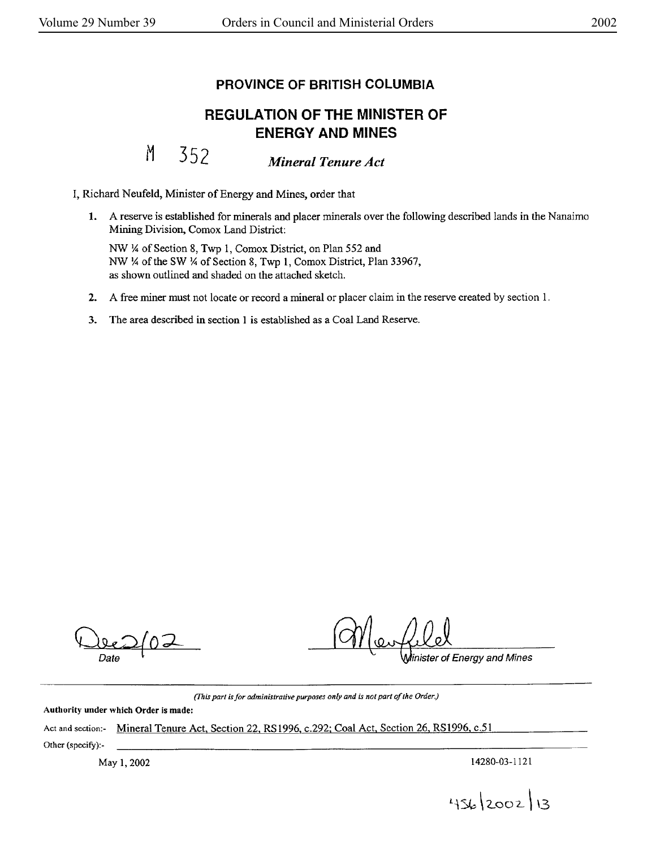## **PROVINCE OF BRITISH COLUMBIA**

## **REGULATION OF THE MINISTER OF ENERGY AND MINES**

M 352 *Mineral Tenure Act* 

I, Richard Neufeld, Minister of Energy and Mines, order that

**1.** A reserve is established for minerals and placer minerals over the following described lands in the Nanaimo Mining Division. Comox Land District:

NW¼ of Section 8, Twp 1, Comox District, on Plan 552 and NW¼ of the SW¼ of Section 8, Twp l, Comox District, Plan 33967, as shown outlined and shaded on the attached sketch.

- **2.** A free miner must not locate or record a mineral or placer claim in the reserve created by section 1.
- 3. The area described in section I is established as a Coal Land Reserve.

of Energy and Mines

*(/1,is part is for administrative purposes only and is not parl of the Order* J

Authority under which Order is made:

Act and section:- Mineral Tenure Act, Section 22, RS1996, c.292; Coal Act, Section 26, RS1996, c.51 Other (specify):-

May 1, 2002 14280-03-1121

456/2002/13